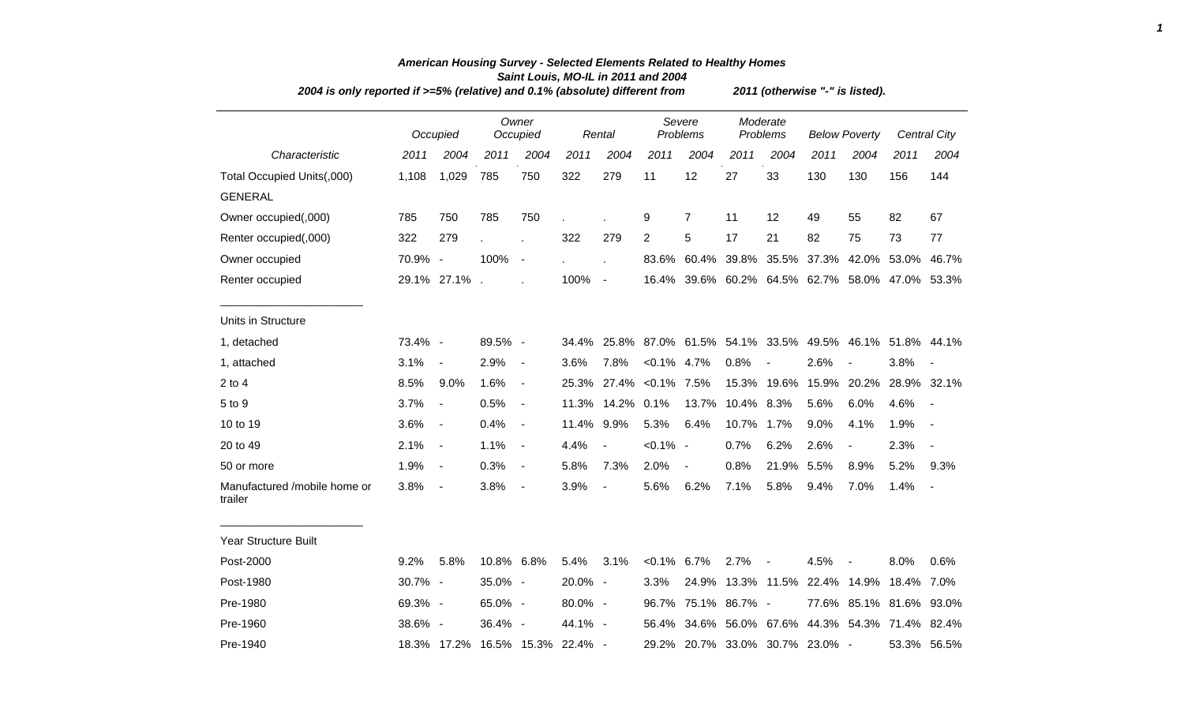| 2004 is only reported if >=5% (relative) and 0.1% (absolute) different from | 2011 (otherwise "-" is listed). |                          |            |                          |                                 |                          |                |                    |                      |                          |                                 |                                                 |                   |                          |
|-----------------------------------------------------------------------------|---------------------------------|--------------------------|------------|--------------------------|---------------------------------|--------------------------|----------------|--------------------|----------------------|--------------------------|---------------------------------|-------------------------------------------------|-------------------|--------------------------|
|                                                                             |                                 | Occupied                 |            | Owner<br>Occupied        |                                 | Rental                   |                | Severe<br>Problems | Moderate<br>Problems |                          | <b>Below Poverty</b>            |                                                 |                   | <b>Central City</b>      |
| Characteristic                                                              | 2011                            | 2004                     | 2011       | 2004                     | 2011                            | 2004                     | 2011           | 2004               | 2011                 | 2004                     | 2011                            | 2004                                            | 2011              | 2004                     |
| Total Occupied Units(,000)                                                  | 1,108                           | 1,029                    | 785        | 750                      | 322                             | 279                      | 11             | 12                 | 27                   | 33                       | 130                             | 130                                             | 156               | 144                      |
| <b>GENERAL</b>                                                              |                                 |                          |            |                          |                                 |                          |                |                    |                      |                          |                                 |                                                 |                   |                          |
| Owner occupied(,000)                                                        | 785                             | 750                      | 785        | 750                      |                                 |                          | 9              | $\overline{7}$     | 11                   | 12                       | 49                              | 55                                              | 82                | 67                       |
| Renter occupied(,000)                                                       | 322                             | 279                      |            | l.                       | 322                             | 279                      | $\overline{c}$ | 5                  | 17                   | 21                       | 82                              | 75                                              | 73                | 77                       |
| Owner occupied                                                              | 70.9% -                         |                          | 100%       | $\sim$                   |                                 | $\mathbf{r}$             |                | 83.6% 60.4%        | 39.8%                | 35.5%                    | 37.3%                           |                                                 | 42.0% 53.0%       | 46.7%                    |
| Renter occupied                                                             |                                 | 29.1% 27.1%.             |            |                          | 100%                            | $\sim$ $-$               |                |                    |                      |                          |                                 | 16.4% 39.6% 60.2% 64.5% 62.7% 58.0% 47.0% 53.3% |                   |                          |
| Units in Structure                                                          |                                 |                          |            |                          |                                 |                          |                |                    |                      |                          |                                 |                                                 |                   |                          |
| 1, detached                                                                 | 73.4% -                         |                          | 89.5% -    |                          | 34.4%                           | 25.8%                    |                |                    |                      |                          | 87.0% 61.5% 54.1% 33.5% 49.5%   |                                                 | 46.1% 51.8% 44.1% |                          |
| 1, attached                                                                 | 3.1%                            | $\overline{\phantom{a}}$ | 2.9%       | $\blacksquare$           | 3.6%                            | 7.8%                     | $< 0.1\%$ 4.7% |                    | 0.8%                 | $\overline{\phantom{a}}$ | 2.6%                            | $\blacksquare$                                  | 3.8%              | $\overline{\phantom{a}}$ |
| $2$ to $4$                                                                  | 8.5%                            | 9.0%                     | 1.6%       | $\overline{\phantom{a}}$ | 25.3%                           | 27.4%                    | $< 0.1\%$ 7.5% |                    | 15.3%                | 19.6%                    | 15.9%                           | 20.2%                                           | 28.9%             | 32.1%                    |
| 5 to 9                                                                      | 3.7%                            | $\overline{\phantom{a}}$ | 0.5%       | $\blacksquare$           | 11.3%                           | 14.2%                    | 0.1%           | 13.7%              | 10.4%                | 8.3%                     | 5.6%                            | 6.0%                                            | 4.6%              | $\overline{\phantom{a}}$ |
| 10 to 19                                                                    | 3.6%                            | $\overline{\phantom{a}}$ | 0.4%       | $\overline{\phantom{a}}$ | 11.4%                           | 9.9%                     | 5.3%           | 6.4%               | 10.7%                | 1.7%                     | 9.0%                            | 4.1%                                            | 1.9%              | $\overline{\phantom{a}}$ |
| 20 to 49                                                                    | 2.1%                            | $\overline{\phantom{a}}$ | 1.1%       | $\overline{\phantom{a}}$ | 4.4%                            | $\overline{\phantom{a}}$ | $< 0.1\%$ -    |                    | 0.7%                 | 6.2%                     | 2.6%                            | $\blacksquare$                                  | 2.3%              |                          |
| 50 or more                                                                  | 1.9%                            | $\overline{\phantom{a}}$ | 0.3%       | $\overline{\phantom{a}}$ | 5.8%                            | 7.3%                     | 2.0%           | $\blacksquare$     | 0.8%                 | 21.9%                    | 5.5%                            | 8.9%                                            | 5.2%              | 9.3%                     |
| Manufactured /mobile home or<br>trailer                                     | 3.8%                            | $\blacksquare$           | 3.8%       | $\overline{\phantom{a}}$ | 3.9%                            | $\overline{\phantom{a}}$ | 5.6%           | 6.2%               | 7.1%                 | 5.8%                     | 9.4%                            | 7.0%                                            | 1.4%              |                          |
| Year Structure Built                                                        |                                 |                          |            |                          |                                 |                          |                |                    |                      |                          |                                 |                                                 |                   |                          |
| Post-2000                                                                   | 9.2%                            | 5.8%                     | 10.8% 6.8% |                          | 5.4%                            | 3.1%                     | $< 0.1\%$ 6.7% |                    | 2.7%                 | $\blacksquare$           | 4.5%                            |                                                 | 8.0%              | 0.6%                     |
| Post-1980                                                                   | 30.7% -                         |                          | 35.0% -    |                          | 20.0% -                         |                          | 3.3%           | 24.9%              |                      | 13.3% 11.5%              | 22.4%                           |                                                 | 14.9% 18.4% 7.0%  |                          |
| Pre-1980                                                                    | 69.3% -                         |                          | 65.0% -    |                          | 80.0% -                         |                          | 96.7%          |                    | 75.1% 86.7% -        |                          |                                 | 77.6% 85.1% 81.6% 93.0%                         |                   |                          |
| Pre-1960                                                                    | 38.6% -                         |                          | 36.4% -    |                          | 44.1% -                         |                          | 56.4%          |                    | 34.6% 56.0% 67.6%    |                          |                                 | 44.3% 54.3% 71.4% 82.4%                         |                   |                          |
| Pre-1940                                                                    |                                 |                          |            |                          | 18.3% 17.2% 16.5% 15.3% 22.4% - |                          |                |                    |                      |                          | 29.2% 20.7% 33.0% 30.7% 23.0% - |                                                 |                   | 53.3% 56.5%              |

## *American Housing Survey - Selected Elements Related to Healthy Homes Saint Louis, MO-IL in 2011 and 2004*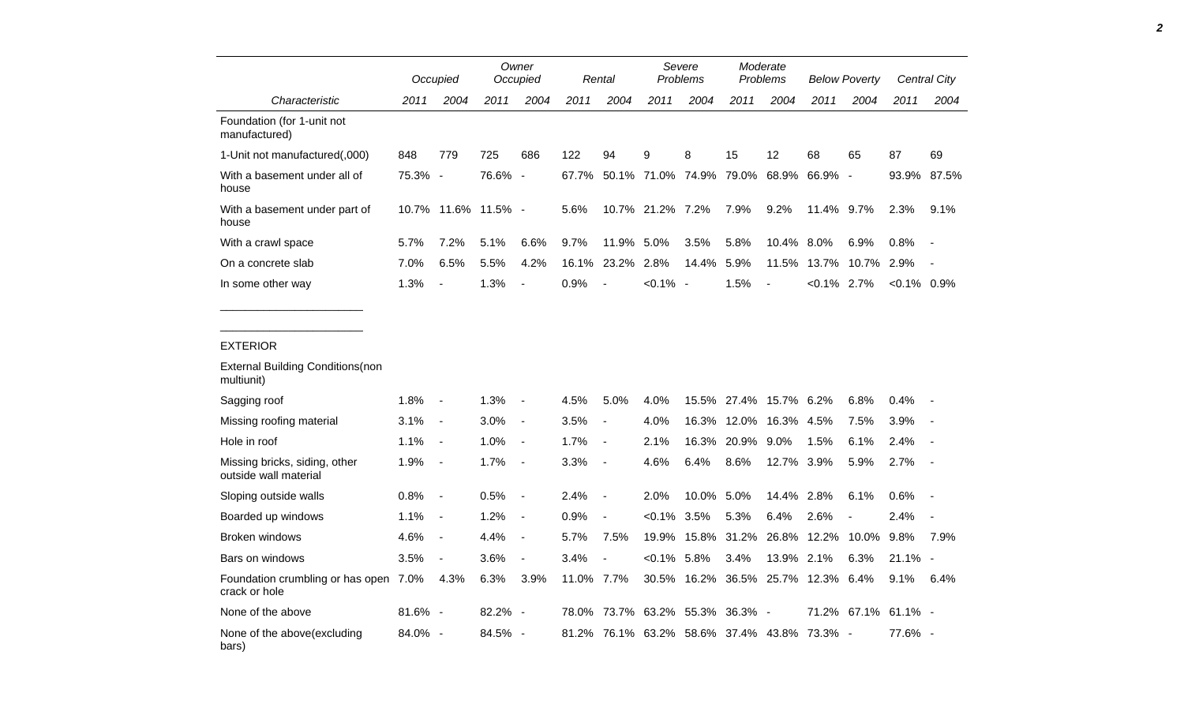|                                                             |         | Occupied                 |                     | Owner<br>Occupied |            | Rental           |                  | Severe<br>Problems |                                             | Moderate<br>Problems     |                | <b>Below Poverty</b>   |                | <b>Central City</b> |
|-------------------------------------------------------------|---------|--------------------------|---------------------|-------------------|------------|------------------|------------------|--------------------|---------------------------------------------|--------------------------|----------------|------------------------|----------------|---------------------|
| Characteristic                                              | 2011    | 2004                     | 2011                | 2004              | 2011       | 2004             | 2011             | 2004               | 2011                                        | 2004                     | 2011           | 2004                   | 2011           | 2004                |
| Foundation (for 1-unit not<br>manufactured)                 |         |                          |                     |                   |            |                  |                  |                    |                                             |                          |                |                        |                |                     |
| 1-Unit not manufactured(,000)                               | 848     | 779                      | 725                 | 686               | 122        | 94               | 9                | 8                  | 15                                          | 12                       | 68             | 65                     | 87             | 69                  |
| With a basement under all of<br>house                       | 75.3% - |                          | 76.6% -             |                   |            |                  |                  |                    | 67.7% 50.1% 71.0% 74.9% 79.0% 68.9% 66.9% - |                          |                |                        |                | 93.9% 87.5%         |
| With a basement under part of<br>house                      |         |                          | 10.7% 11.6% 11.5% - |                   | 5.6%       |                  | 10.7% 21.2% 7.2% |                    | 7.9%                                        | 9.2%                     | 11.4% 9.7%     |                        | 2.3%           | 9.1%                |
| With a crawl space                                          | 5.7%    | 7.2%                     | 5.1%                | 6.6%              | 9.7%       | 11.9% 5.0%       |                  | 3.5%               | 5.8%                                        | 10.4% 8.0%               |                | 6.9%                   | 0.8%           | $\sim$ $-$          |
| On a concrete slab                                          | 7.0%    | 6.5%                     | 5.5%                | 4.2%              |            | 16.1% 23.2% 2.8% |                  | 14.4% 5.9%         |                                             |                          |                | 11.5% 13.7% 10.7% 2.9% |                | $\sim$ $-$          |
| In some other way                                           | 1.3%    | $\overline{\phantom{a}}$ | 1.3%                | $\blacksquare$    | 0.9%       | $\sim$           | $< 0.1\%$ -      |                    | 1.5%                                        | $\overline{\phantom{a}}$ | $< 0.1\%$ 2.7% |                        | $< 0.1\%$ 0.9% |                     |
| <b>External Building Conditions(non</b><br>multiunit)       |         |                          |                     |                   |            |                  |                  |                    |                                             |                          |                |                        |                |                     |
| Sagging roof                                                | 1.8%    | $\blacksquare$           | 1.3%                | $\sim$ $\sim$     | 4.5%       | 5.0%             | 4.0%             |                    | 15.5% 27.4% 15.7% 6.2%                      |                          |                | 6.8%                   | $0.4\%$        |                     |
| Missing roofing material                                    | 3.1%    | $\sim$                   | $3.0\%$             | $\sim$            | 3.5%       | $\blacksquare$   | 4.0%             |                    | 16.3% 12.0% 16.3% 4.5%                      |                          |                | 7.5%                   | 3.9%           | $\sim$ $-$          |
| Hole in roof                                                | 1.1%    | $\sim$                   | $1.0\%$             | $\sim$ $-$        | 1.7%       | $\sim$ $-$       | 2.1%             |                    | 16.3% 20.9% 9.0%                            |                          | 1.5%           | 6.1%                   | 2.4%           | $\sim$              |
| Missing bricks, siding, other<br>outside wall material      | 1.9%    | $\sim$                   | $1.7% -$            |                   | 3.3%       | $\sim$ $-$       | 4.6%             | 6.4%               | 8.6%                                        | 12.7% 3.9%               |                | 5.9%                   | 2.7%           | $\sim$ $-$          |
| Sloping outside walls                                       | $0.8\%$ | $\overline{\phantom{a}}$ | $0.5% -$            |                   | 2.4%       | $\sim$ $-$       | 2.0%             | 10.0% 5.0%         |                                             | 14.4% 2.8%               |                | 6.1%                   | 0.6%           | $\sim$ $-$          |
| Boarded up windows                                          | 1.1%    | $\sim$                   | 1.2%                | $\sim$            | 0.9%       | $\blacksquare$   | $<0.1\%$ 3.5%    |                    | 5.3%                                        | 6.4%                     | 2.6%           | $\blacksquare$         | 2.4%           | $\sim$              |
| <b>Broken windows</b>                                       | 4.6%    | $\sim$                   | 4.4%                | $\sim$ $-$        | 5.7%       | 7.5%             |                  |                    | 19.9% 15.8% 31.2% 26.8% 12.2% 10.0% 9.8%    |                          |                |                        |                | 7.9%                |
| Bars on windows                                             | 3.5%    | $\sim$                   | 3.6%                | $\sim$            | 3.4%       | $\blacksquare$   | $< 0.1\%$ 5.8%   |                    | 3.4%                                        | 13.9% 2.1%               |                | 6.3%                   | $21.1\%$ -     |                     |
| Foundation crumbling or has open 7.0% 4.3%<br>crack or hole |         |                          | 6.3%                | 3.9%              | 11.0% 7.7% |                  |                  |                    | 30.5% 16.2% 36.5% 25.7% 12.3% 6.4%          |                          |                |                        | $9.1\%$        | 6.4%                |
| None of the above                                           | 81.6% - |                          | 82.2% -             |                   |            |                  |                  |                    | 78.0% 73.7% 63.2% 55.3% 36.3% -             |                          |                | 71.2% 67.1% 61.1% -    |                |                     |
| None of the above(excluding<br>bars)                        | 84.0% - |                          | 84.5% -             |                   |            |                  |                  |                    | 81.2% 76.1% 63.2% 58.6% 37.4% 43.8% 73.3% - |                          |                |                        | 77.6% -        |                     |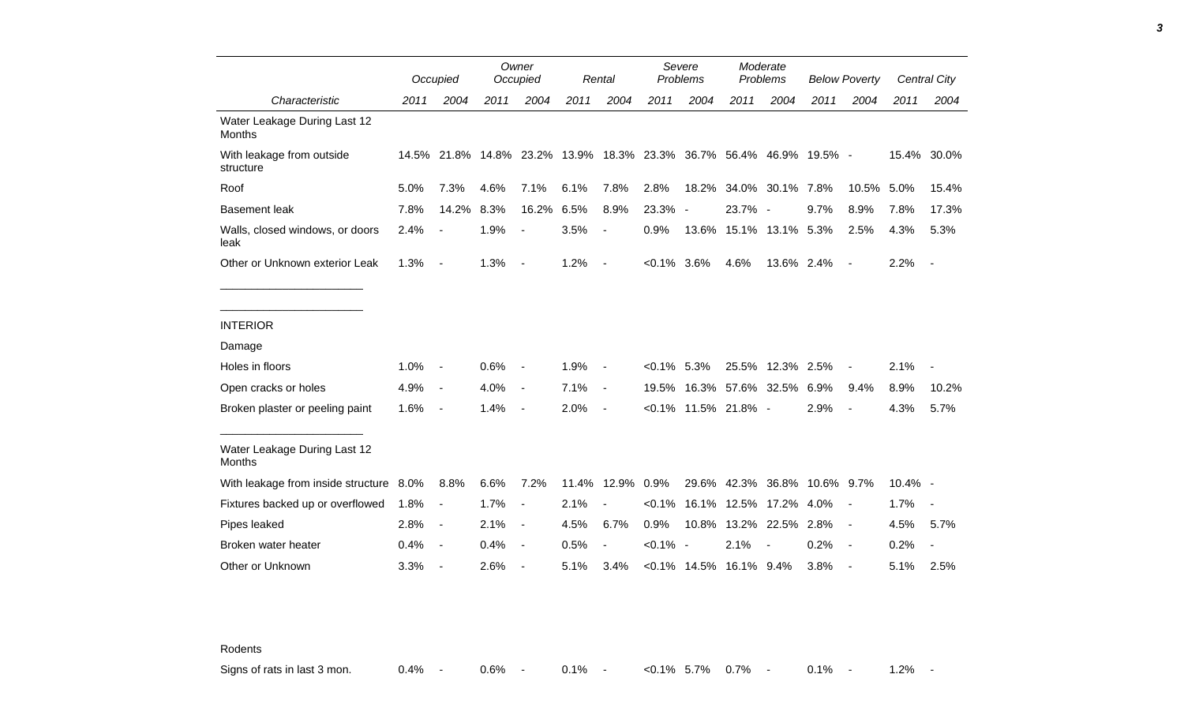|                                               |      | Occupied                                                            |      | Owner<br>Occupied        |       | Rental                   | Severe<br><b>Problems</b> |                            | Moderate<br>Problems |                  | <b>Below Poverty</b>         |                          |         | Central City             |
|-----------------------------------------------|------|---------------------------------------------------------------------|------|--------------------------|-------|--------------------------|---------------------------|----------------------------|----------------------|------------------|------------------------------|--------------------------|---------|--------------------------|
| Characteristic                                | 2011 | 2004                                                                | 2011 | 2004                     | 2011  | 2004                     | 2011                      | 2004                       | 2011                 | 2004             | 2011                         | 2004                     | 2011    | 2004                     |
| Water Leakage During Last 12<br><b>Months</b> |      |                                                                     |      |                          |       |                          |                           |                            |                      |                  |                              |                          |         |                          |
| With leakage from outside<br>structure        |      | 14.5% 21.8% 14.8% 23.2% 13.9% 18.3% 23.3% 36.7% 56.4% 46.9% 19.5% - |      |                          |       |                          |                           |                            |                      |                  |                              |                          |         | 15.4% 30.0%              |
| Roof                                          | 5.0% | 7.3%                                                                | 4.6% | 7.1%                     | 6.1%  | 7.8%                     | 2.8%                      | 18.2%                      |                      | 34.0% 30.1% 7.8% |                              | 10.5%                    | 5.0%    | 15.4%                    |
| <b>Basement leak</b>                          | 7.8% | 14.2%                                                               | 8.3% | 16.2%                    | 6.5%  | 8.9%                     | 23.3%                     | $\overline{\phantom{a}}$   | 23.7% -              |                  | 9.7%                         | 8.9%                     | 7.8%    | 17.3%                    |
| Walls, closed windows, or doors<br>leak       | 2.4% |                                                                     | 1.9% |                          | 3.5%  | $\blacksquare$           | 0.9%                      | 13.6%                      |                      | 15.1% 13.1% 5.3% |                              | 2.5%                     | 4.3%    | 5.3%                     |
| Other or Unknown exterior Leak                | 1.3% | $\blacksquare$                                                      | 1.3% | $\overline{\phantom{a}}$ | 1.2%  | $\sim$                   | $< 0.1\%$ 3.6%            |                            | 4.6%                 | 13.6% 2.4%       |                              | $\overline{\phantom{a}}$ | 2.2%    | $\overline{\phantom{a}}$ |
|                                               |      |                                                                     |      |                          |       |                          |                           |                            |                      |                  |                              |                          |         |                          |
| <b>INTERIOR</b>                               |      |                                                                     |      |                          |       |                          |                           |                            |                      |                  |                              |                          |         |                          |
| Damage                                        |      |                                                                     |      |                          |       |                          |                           |                            |                      |                  |                              |                          |         |                          |
| Holes in floors                               | 1.0% |                                                                     | 0.6% |                          | 1.9%  |                          | $< 0.1\%$ 5.3%            |                            |                      | 25.5% 12.3% 2.5% |                              |                          | 2.1%    |                          |
| Open cracks or holes                          | 4.9% | $\blacksquare$                                                      | 4.0% | $\overline{\phantom{a}}$ | 7.1%  | $\blacksquare$           | 19.5%                     |                            | 16.3% 57.6% 32.5%    |                  | 6.9%                         | 9.4%                     | 8.9%    | 10.2%                    |
| Broken plaster or peeling paint               | 1.6% | $\blacksquare$                                                      | 1.4% | $\overline{\phantom{a}}$ | 2.0%  | $\overline{\phantom{a}}$ |                           | $< 0.1\%$ 11.5% 21.8% -    |                      |                  | 2.9%                         |                          | 4.3%    | 5.7%                     |
| Water Leakage During Last 12<br><b>Months</b> |      |                                                                     |      |                          |       |                          |                           |                            |                      |                  |                              |                          |         |                          |
| With leakage from inside structure 8.0%       |      | 8.8%                                                                | 6.6% | 7.2%                     | 11.4% | 12.9% 0.9%               |                           |                            |                      |                  | 29.6% 42.3% 36.8% 10.6% 9.7% |                          | 10.4% - |                          |
| Fixtures backed up or overflowed              | 1.8% | $\blacksquare$                                                      | 1.7% | $\overline{\phantom{a}}$ | 2.1%  |                          | $< 0.1\%$                 |                            | 16.1% 12.5%          | 17.2%            | 4.0%                         |                          | 1.7%    | $\overline{\phantom{a}}$ |
| Pipes leaked                                  | 2.8% | $\overline{\phantom{a}}$                                            | 2.1% | $\overline{\phantom{a}}$ | 4.5%  | 6.7%                     | 0.9%                      | 10.8%                      | 13.2%                | 22.5%            | 2.8%                         | $\overline{\phantom{a}}$ | 4.5%    | 5.7%                     |
| Broken water heater                           | 0.4% | $\overline{\phantom{a}}$                                            | 0.4% | $\overline{\phantom{a}}$ | 0.5%  | $\blacksquare$           | $< 0.1\%$ -               |                            | 2.1%                 |                  | 0.2%                         | $\blacksquare$           | 0.2%    |                          |
| Other or Unknown                              | 3.3% | $\overline{\phantom{a}}$                                            | 2.6% |                          | 5.1%  | 3.4%                     |                           | $< 0.1\%$ 14.5% 16.1% 9.4% |                      |                  | 3.8%                         |                          | 5.1%    | 2.5%                     |

Rodents

Signs of rats in last 3 mon.  $0.4\%$  - 0.6% - 0.1% - <0.1% 5.7% 0.7% - 0.1% - 1.2% -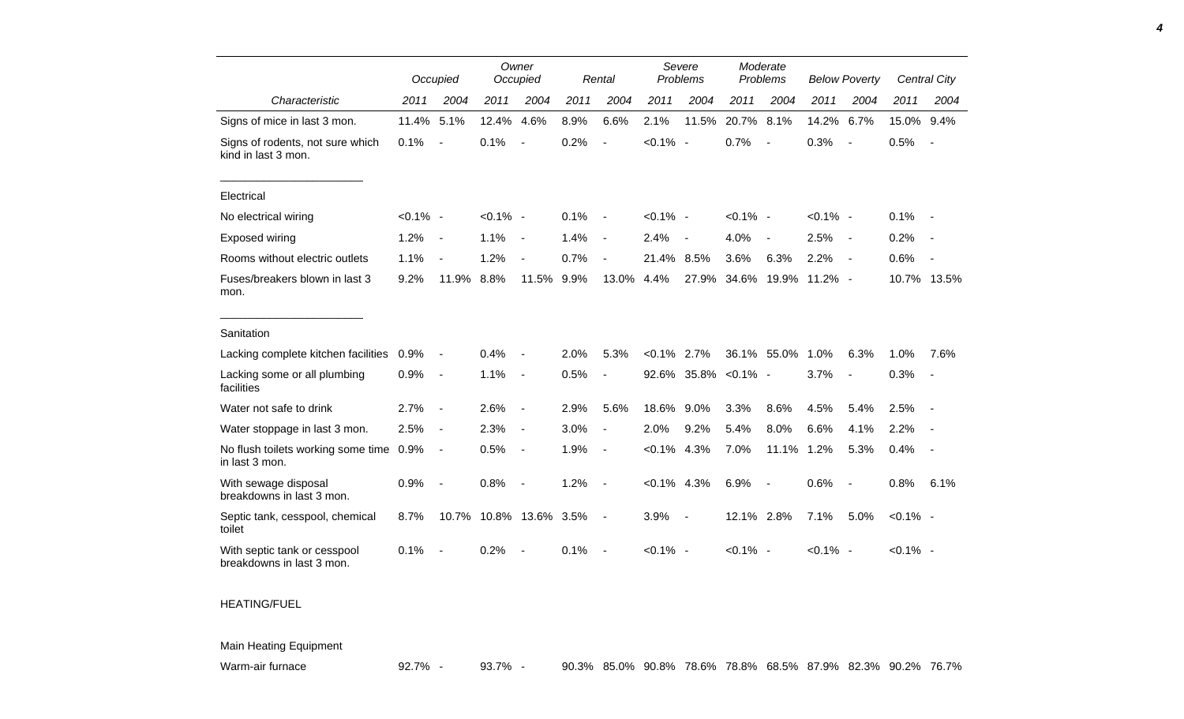|                                                           |             | Occupied                 |                   | Owner<br>Occupied            |      | Rental                   |                | Severe<br>Problems | Moderate<br>Problems |                          | <b>Below Poverty</b> |                          |             | Central City             |
|-----------------------------------------------------------|-------------|--------------------------|-------------------|------------------------------|------|--------------------------|----------------|--------------------|----------------------|--------------------------|----------------------|--------------------------|-------------|--------------------------|
| Characteristic                                            | 2011        | 2004                     | 2011              | 2004                         | 2011 | 2004                     | 2011           | 2004               | 2011                 | 2004                     | 2011                 | 2004                     | 2011        | 2004                     |
| Signs of mice in last 3 mon.                              | 11.4%       | 5.1%                     | 12.4%             | 4.6%                         | 8.9% | 6.6%                     | 2.1%           | 11.5%              | 20.7%                | 8.1%                     | 14.2%                | 6.7%                     | 15.0% 9.4%  |                          |
| Signs of rodents, not sure which<br>kind in last 3 mon.   | 0.1%        | $\overline{\phantom{a}}$ | 0.1%              |                              | 0.2% |                          | $< 0.1\%$ -    |                    | 0.7%                 |                          | 0.3%                 | $\overline{\phantom{a}}$ | 0.5%        | $\overline{\phantom{a}}$ |
| Electrical                                                |             |                          |                   |                              |      |                          |                |                    |                      |                          |                      |                          |             |                          |
| No electrical wiring                                      | $< 0.1\%$ - |                          | $< 0.1\%$ -       |                              | 0.1% | $\overline{\phantom{a}}$ | $< 0.1\%$ -    |                    | $< 0.1\%$ -          |                          | $< 0.1\%$ -          |                          | 0.1%        |                          |
| Exposed wiring                                            | 1.2%        | $\overline{\phantom{a}}$ | 1.1%              | $\blacksquare$               | 1.4% | $\blacksquare$           | 2.4%           | $\blacksquare$     | 4.0%                 | $\overline{\phantom{a}}$ | 2.5%                 | $\sim$                   | 0.2%        | $\sim$                   |
| Rooms without electric outlets                            | 1.1%        | $\overline{\phantom{a}}$ | 1.2%              |                              | 0.7% |                          | 21.4%          | 8.5%               | 3.6%                 | 6.3%                     | 2.2%                 | $\overline{\phantom{a}}$ | 0.6%        |                          |
| Fuses/breakers blown in last 3<br>mon.                    | 9.2%        | 11.9%                    | 8.8%              | 11.5%                        | 9.9% | 13.0%                    | 4.4%           | 27.9%              | 34.6%                | 19.9%                    | $11.2\%$ -           |                          |             | 10.7% 13.5%              |
| Sanitation                                                |             |                          |                   |                              |      |                          |                |                    |                      |                          |                      |                          |             |                          |
| Lacking complete kitchen facilities                       | 0.9%        | $\overline{a}$           | 0.4%              |                              | 2.0% | 5.3%                     | $<0.1\%$       | 2.7%               |                      | 36.1% 55.0%              | 1.0%                 | 6.3%                     | 1.0%        | 7.6%                     |
| Lacking some or all plumbing<br>facilities                | 0.9%        | $\overline{\phantom{a}}$ | 1.1%              | $\overline{\phantom{a}}$     | 0.5% | $\overline{a}$           |                | 92.6% 35.8%        | $< 0.1\%$ -          |                          | 3.7%                 | $\blacksquare$           | 0.3%        | $\overline{\phantom{a}}$ |
| Water not safe to drink                                   | 2.7%        | $\overline{\phantom{a}}$ | 2.6%              | $\overline{\phantom{a}}$     | 2.9% | 5.6%                     | 18.6%          | 9.0%               | 3.3%                 | 8.6%                     | 4.5%                 | 5.4%                     | 2.5%        |                          |
| Water stoppage in last 3 mon.                             | 2.5%        | $\blacksquare$           | 2.3%              | $\qquad \qquad \blacksquare$ | 3.0% | $\blacksquare$           | 2.0%           | 9.2%               | 5.4%                 | 8.0%                     | 6.6%                 | 4.1%                     | 2.2%        |                          |
| No flush toilets working some time<br>in last 3 mon.      | 0.9%        | $\blacksquare$           | 0.5%              | $\blacksquare$               | 1.9% | $\blacksquare$           | $< 0.1\%$      | 4.3%               | 7.0%                 | 11.1%                    | 1.2%                 | 5.3%                     | 0.4%        |                          |
| With sewage disposal<br>breakdowns in last 3 mon.         | 0.9%        | $\overline{a}$           | 0.8%              |                              | 1.2% | $\overline{\phantom{a}}$ | $< 0.1\%$ 4.3% |                    | 6.9%                 | $\sim$                   | 0.6%                 | $\blacksquare$           | 0.8%        | 6.1%                     |
| Septic tank, cesspool, chemical<br>toilet                 | 8.7%        |                          | 10.7% 10.8% 13.6% |                              | 3.5% | $\overline{\phantom{a}}$ | 3.9%           | $\blacksquare$     | 12.1% 2.8%           |                          | 7.1%                 | 5.0%                     | $< 0.1\%$ - |                          |
| With septic tank or cesspool<br>breakdowns in last 3 mon. | 0.1%        |                          | 0.2%              |                              | 0.1% | $\blacksquare$           | $< 0.1\%$ -    |                    | $< 0.1\%$ -          |                          | $< 0.1\%$ -          |                          | $< 0.1\%$ - |                          |

## HEATING/FUEL

## Main Heating Equipment

Warm-air furnace **92.7% - 93.7% - 93.7% - 90.3% 85.0% 90.8%** 78.6% 78.8% 68.5% 87.9% 82.3% 90.2% 76.7%

*4*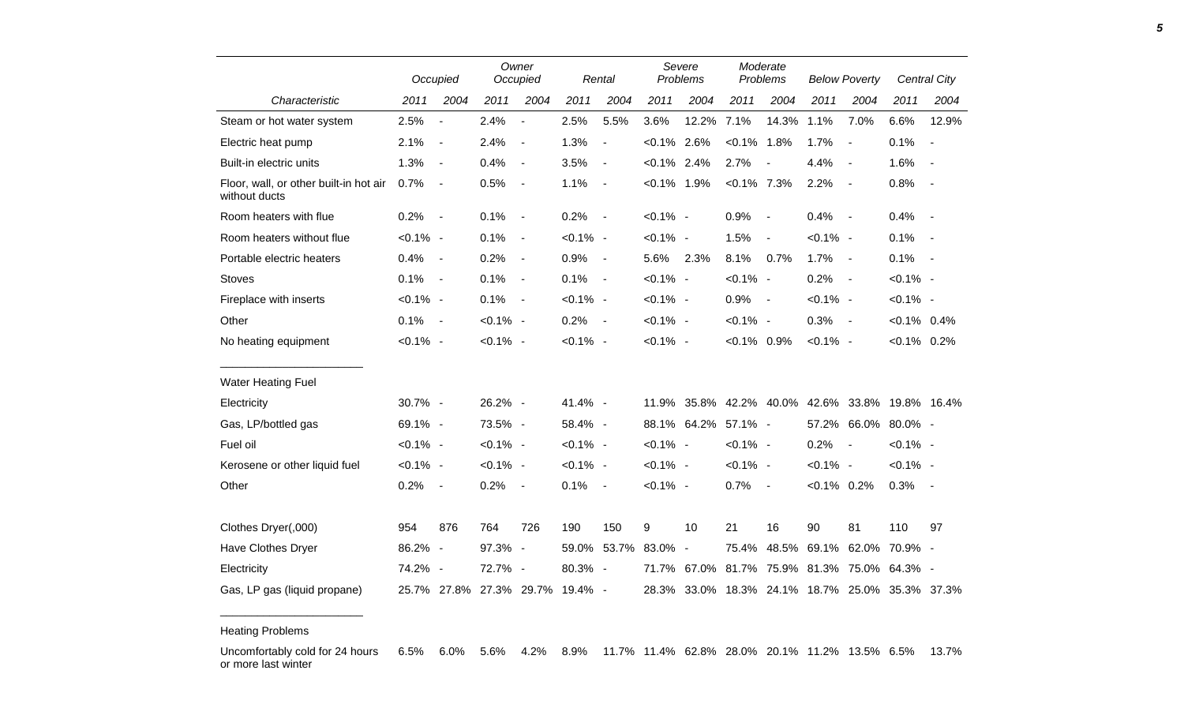|                                                         |             | Occupied                     |                                 | Owner<br>Occupied        |             | Rental                   | Severe<br>Problems |                     | Moderate<br>Problems |                          | <b>Below Poverty</b> |                                                 |                | <b>Central City</b>      |
|---------------------------------------------------------|-------------|------------------------------|---------------------------------|--------------------------|-------------|--------------------------|--------------------|---------------------|----------------------|--------------------------|----------------------|-------------------------------------------------|----------------|--------------------------|
| Characteristic                                          | 2011        | 2004                         | 2011                            | 2004                     | 2011        | 2004                     | 2011               | 2004                | 2011                 | 2004                     | 2011                 | 2004                                            | 2011           | 2004                     |
| Steam or hot water system                               | 2.5%        | $\overline{\phantom{a}}$     | 2.4%                            | $\overline{\phantom{a}}$ | 2.5%        | 5.5%                     | 3.6%               | 12.2%               | 7.1%                 | 14.3%                    | 1.1%                 | 7.0%                                            | 6.6%           | 12.9%                    |
| Electric heat pump                                      | 2.1%        | $\overline{\phantom{a}}$     | 2.4%                            | $\overline{\phantom{a}}$ | 1.3%        | $\overline{\phantom{a}}$ | $< 0.1\%$ 2.6%     |                     | $< 0.1\%$ 1.8%       |                          | 1.7%                 | $\overline{\phantom{a}}$                        | 0.1%           | $\blacksquare$           |
| Built-in electric units                                 | 1.3%        | $\blacksquare$               | 0.4%                            | $\blacksquare$           | 3.5%        | $\blacksquare$           | $< 0.1\%$ 2.4%     |                     | 2.7%                 |                          | 4.4%                 | $\overline{\phantom{a}}$                        | 1.6%           | $\overline{\phantom{a}}$ |
| Floor, wall, or other built-in hot air<br>without ducts | 0.7%        | $\overline{\phantom{a}}$     | 0.5%                            | $\blacksquare$           | 1.1%        | $\blacksquare$           | $< 0.1\%$ 1.9%     |                     | $< 0.1\%$ 7.3%       |                          | 2.2%                 | $\overline{\phantom{a}}$                        | 0.8%           | $\overline{\phantom{a}}$ |
| Room heaters with flue                                  | 0.2%        | $\sim$ $-$                   | 0.1%                            | $\overline{\phantom{a}}$ | 0.2%        | $\sim$                   | $< 0.1\%$ -        |                     | 0.9%                 | $\overline{\phantom{a}}$ | 0.4%                 | $\sim$ $-$                                      | 0.4%           | $\sim$                   |
| Room heaters without flue                               | $< 0.1\%$ - |                              | 0.1%                            | $\overline{\phantom{a}}$ | $< 0.1\%$ - |                          | $< 0.1\%$ -        |                     | 1.5%                 | $\overline{\phantom{a}}$ | $< 0.1\%$ -          |                                                 | 0.1%           | $\overline{\phantom{a}}$ |
| Portable electric heaters                               | 0.4%        | $\qquad \qquad \blacksquare$ | 0.2%                            | $\blacksquare$           | 0.9%        | $\blacksquare$           | 5.6%               | 2.3%                | 8.1%                 | 0.7%                     | 1.7%                 | $\blacksquare$                                  | 0.1%           | $\overline{\phantom{a}}$ |
| <b>Stoves</b>                                           | 0.1%        | $\overline{\phantom{a}}$     | 0.1%                            | $\overline{\phantom{a}}$ | 0.1%        | $\blacksquare$           | $< 0.1\%$ -        |                     | $< 0.1\%$ -          |                          | 0.2%                 | $\blacksquare$                                  | $< 0.1\%$ -    |                          |
| Fireplace with inserts                                  | $< 0.1\%$ - |                              | 0.1%                            | $\blacksquare$           | $< 0.1\%$ - |                          | $< 0.1\%$ -        |                     | 0.9%                 | $\sim$ $-$               | $< 0.1\%$ -          |                                                 | $< 0.1\%$ -    |                          |
| Other                                                   | $0.1\%$ -   |                              | $< 0.1\%$ -                     |                          | $0.2\%$ -   |                          | $< 0.1\%$ -        |                     | $< 0.1\%$ -          |                          | $0.3\%$ -            |                                                 | $< 0.1\%$ 0.4% |                          |
| No heating equipment                                    | $< 0.1\%$ - |                              | $< 0.1\%$ -                     |                          | $< 0.1\%$ - |                          | $< 0.1\%$ -        |                     | $< 0.1\%$ 0.9%       |                          | $< 0.1\%$ -          |                                                 | $< 0.1\%$ 0.2% |                          |
| <b>Water Heating Fuel</b>                               |             |                              |                                 |                          |             |                          |                    |                     |                      |                          |                      |                                                 |                |                          |
| Electricity                                             | 30.7% -     |                              | 26.2% -                         |                          | 41.4% -     |                          | 11.9%              |                     | 35.8% 42.2% 40.0%    |                          |                      | 42.6% 33.8% 19.8% 16.4%                         |                |                          |
| Gas, LP/bottled gas                                     | 69.1% -     |                              | 73.5% -                         |                          | 58.4% -     |                          |                    | 88.1% 64.2% 57.1% - |                      |                          | 57.2%                |                                                 | 66.0% 80.0% -  |                          |
| Fuel oil                                                | $< 0.1\%$ - |                              | $< 0.1\%$ -                     |                          | $< 0.1\%$ - |                          | $< 0.1\%$ -        |                     | $< 0.1\%$ -          |                          | 0.2%                 | $\blacksquare$                                  | $< 0.1\%$ -    |                          |
| Kerosene or other liquid fuel                           | $< 0.1\%$ - |                              | $< 0.1\%$ -                     |                          | $< 0.1\%$ - |                          | $< 0.1\%$ -        |                     | $< 0.1\%$ -          |                          | $< 0.1\%$ -          |                                                 | $< 0.1\%$ -    |                          |
| Other                                                   | 0.2%        | $\overline{\phantom{a}}$     | 0.2%                            | $\overline{\phantom{a}}$ | 0.1%        | $\sim$                   | $< 0.1\%$ -        |                     | 0.7%                 | $\overline{\phantom{a}}$ | $< 0.1\%$ 0.2%       |                                                 | 0.3%           | $\sim$                   |
| Clothes Dryer(,000)                                     | 954         | 876                          | 764                             | 726                      | 190         | 150                      | 9                  | 10                  | 21                   | 16                       | 90                   | 81                                              | 110            | 97                       |
| Have Clothes Dryer                                      | 86.2% -     |                              | 97.3% -                         |                          | 59.0%       | 53.7%                    | 83.0%              | $\blacksquare$      | 75.4%                | 48.5%                    | 69.1%                | 62.0%                                           | 70.9% -        |                          |
| Electricity                                             | 74.2% -     |                              | 72.7% -                         |                          | 80.3% -     |                          |                    | 71.7% 67.0%         |                      |                          |                      | 81.7% 75.9% 81.3% 75.0% 64.3% -                 |                |                          |
| Gas, LP gas (liquid propane)                            |             |                              | 25.7% 27.8% 27.3% 29.7% 19.4% - |                          |             |                          |                    |                     |                      |                          |                      | 28.3% 33.0% 18.3% 24.1% 18.7% 25.0% 35.3% 37.3% |                |                          |

Heating Problems

\_\_\_\_\_\_\_\_\_\_\_\_\_\_\_\_\_\_\_\_\_\_\_

Uncomfortably cold for 24 hours or more last winter 6.5% 6.0% 5.6% 4.2% 8.9% 11.7% 11.4% 62.8% 28.0% 20.1% 11.2% 13.5% 6.5% 13.7%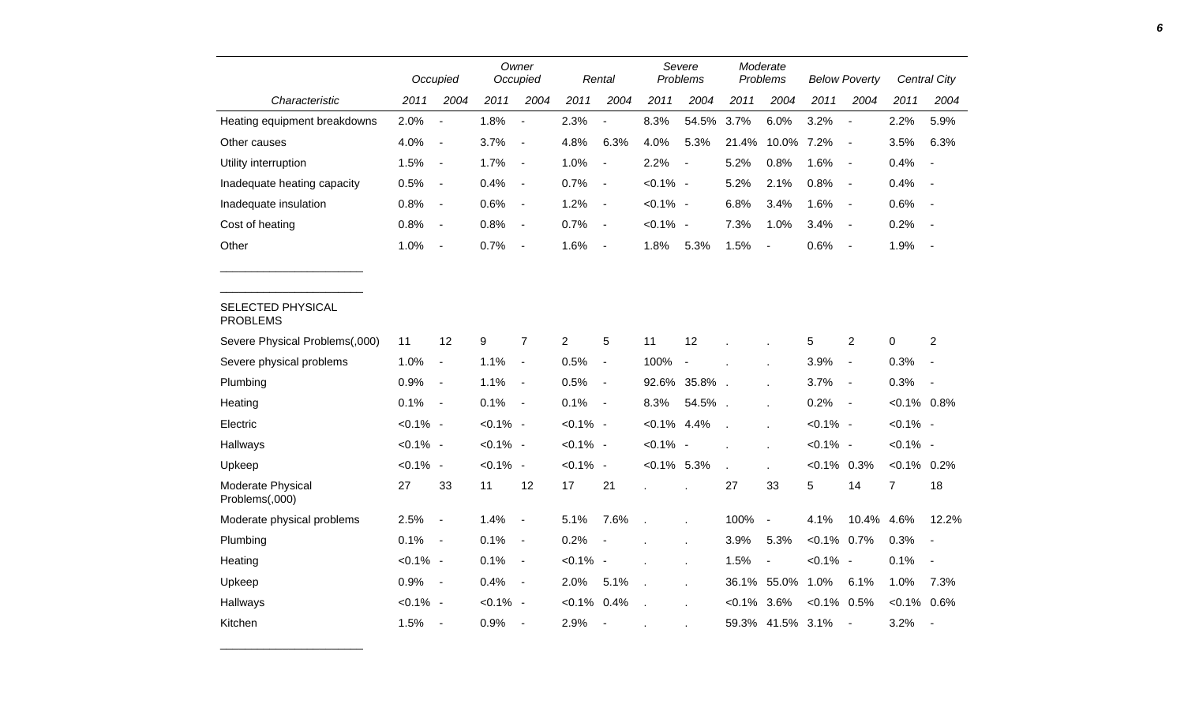|                                      |             | Occupied                 |             | Owner<br>Occupied        |                | Rental                   |                | Severe<br>Problems   |                | Moderate<br>Problems     |                | <b>Below Poverty</b>     |                | Central City             |
|--------------------------------------|-------------|--------------------------|-------------|--------------------------|----------------|--------------------------|----------------|----------------------|----------------|--------------------------|----------------|--------------------------|----------------|--------------------------|
| Characteristic                       | 2011        | 2004                     | 2011        | 2004                     | 2011           | 2004                     | 2011           | 2004                 | 2011           | 2004                     | 2011           | 2004                     | 2011           | 2004                     |
| Heating equipment breakdowns         | 2.0%        | $\blacksquare$           | 1.8%        | $\blacksquare$           | 2.3%           | $\sim$                   | 8.3%           | 54.5%                | 3.7%           | 6.0%                     | 3.2%           | $\blacksquare$           | 2.2%           | 5.9%                     |
| Other causes                         | 4.0%        | $\overline{\phantom{a}}$ | 3.7%        | $\overline{\phantom{a}}$ | 4.8%           | 6.3%                     | 4.0%           | 5.3%                 | 21.4%          | 10.0%                    | 7.2%           | $\overline{\phantom{a}}$ | 3.5%           | 6.3%                     |
| Utility interruption                 | 1.5%        | $\blacksquare$           | 1.7%        | $\sim$                   | 1.0%           | $\blacksquare$           | 2.2%           | $\blacksquare$       | 5.2%           | 0.8%                     | 1.6%           | $\blacksquare$           | 0.4%           | $\overline{\phantom{a}}$ |
| Inadequate heating capacity          | 0.5%        | $\overline{\phantom{a}}$ | 0.4%        | $\blacksquare$           | 0.7%           | $\blacksquare$           | $< 0.1\%$ -    |                      | 5.2%           | 2.1%                     | 0.8%           | $\blacksquare$           | 0.4%           | $\overline{\phantom{a}}$ |
| Inadequate insulation                | 0.8%        | $\blacksquare$           | 0.6%        | $\overline{\phantom{a}}$ | 1.2%           | $\blacksquare$           | $< 0.1\%$ -    |                      | 6.8%           | 3.4%                     | 1.6%           | $\blacksquare$           | 0.6%           | $\blacksquare$           |
| Cost of heating                      | 0.8%        | $\overline{\phantom{a}}$ | 0.8%        | $\overline{\phantom{a}}$ | 0.7%           | $\blacksquare$           | $< 0.1\%$ -    |                      | 7.3%           | 1.0%                     | 3.4%           | $\overline{\phantom{a}}$ | 0.2%           | $\overline{\phantom{a}}$ |
| Other                                | 1.0%        | $\overline{\phantom{a}}$ | 0.7%        | $\overline{\phantom{a}}$ | 1.6%           | $\overline{\phantom{a}}$ | 1.8%           | 5.3%                 | 1.5%           |                          | 0.6%           | $\overline{a}$           | 1.9%           | $\overline{\phantom{a}}$ |
| SELECTED PHYSICAL<br><b>PROBLEMS</b> |             |                          |             |                          |                |                          |                |                      |                |                          |                |                          |                |                          |
| Severe Physical Problems(,000)       | 11          | 12                       | 9           | $\overline{7}$           | $\overline{c}$ | $\,$ 5 $\,$              | 11             | 12                   |                |                          | 5              | $\overline{2}$           | $\,0\,$        | $\overline{c}$           |
| Severe physical problems             | 1.0%        | $\blacksquare$           | 1.1%        | $\blacksquare$           | 0.5%           | $\blacksquare$           | 100%           | $\blacksquare$       |                |                          | 3.9%           | $\overline{\phantom{a}}$ | 0.3%           | $\blacksquare$           |
| Plumbing                             | 0.9%        | $\overline{\phantom{a}}$ | 1.1%        | $\sim$                   | 0.5%           | $\blacksquare$           | 92.6%          | 35.8%.               |                |                          | 3.7%           | $\blacksquare$           | 0.3%           | $\blacksquare$           |
| Heating                              | 0.1%        | $\overline{\phantom{a}}$ | 0.1%        | $\sim$ $-$               | 0.1%           | $\blacksquare$           | 8.3%           | 54.5%.               |                |                          | 0.2%           | $\sim$                   | $< 0.1\%$ 0.8% |                          |
| Electric                             | $< 0.1\%$ - |                          | $< 0.1\%$ - |                          | $< 0.1\%$ -    |                          | $< 0.1\%$ 4.4% |                      | $\overline{a}$ |                          | $< 0.1\%$ -    |                          | $< 0.1\%$ -    |                          |
| Hallways                             | $< 0.1\%$ - |                          | $< 0.1\%$ - |                          | $< 0.1\%$ -    |                          | $< 0.1\%$ -    |                      |                |                          | $< 0.1\%$ -    |                          | $< 0.1\%$ -    |                          |
| Upkeep                               | $< 0.1\%$ - |                          | $< 0.1\%$ - |                          | $< 0.1\%$ -    |                          | $< 0.1\%$ 5.3% |                      | ä,             |                          | $< 0.1\%$ 0.3% |                          | $< 0.1\%$ 0.2% |                          |
| Moderate Physical<br>Problems(,000)  | 27          | 33                       | 11          | 12                       | 17             | 21                       |                | $\ddot{\phantom{a}}$ | 27             | 33                       | 5              | 14                       | $\overline{7}$ | 18                       |
| Moderate physical problems           | 2.5%        | $\overline{\phantom{a}}$ | 1.4%        | $\blacksquare$           | 5.1%           | 7.6%                     | $\mathbf{r}$   | ä,                   | 100%           | $\overline{\phantom{a}}$ | 4.1%           | 10.4% 4.6%               |                | 12.2%                    |
| Plumbing                             | 0.1%        | $\overline{\phantom{a}}$ | 0.1%        | $\overline{\phantom{a}}$ | 0.2%           |                          |                | ä,                   | 3.9%           | 5.3%                     | $< 0.1\%$ 0.7% |                          | 0.3%           | $\overline{\phantom{a}}$ |
| Heating                              | $< 0.1\%$ - |                          | 0.1%        | $\overline{\phantom{a}}$ | $< 0.1\%$ -    |                          |                | ä,                   | 1.5%           | $\blacksquare$           | $< 0.1\%$ -    |                          | 0.1%           | $\blacksquare$           |
| Upkeep                               | 0.9%        | $\overline{\phantom{a}}$ | 0.4%        | $\sim$ $-$               | 2.0%           | 5.1%                     | $\mathcal{L}$  | ä,                   |                | 36.1% 55.0%              | 1.0%           | 6.1%                     | 1.0%           | 7.3%                     |
| Hallways                             | $< 0.1\%$ - |                          | $< 0.1\%$ - |                          | $< 0.1\%$      | 0.4%                     |                |                      | $< 0.1\%$ 3.6% |                          | $< 0.1\%$ 0.5% |                          | $< 0.1\%$ 0.6% |                          |
| Kitchen                              | 1.5%        | $\overline{\phantom{a}}$ | 0.9%        | $\overline{\phantom{a}}$ | 2.9%           | $\overline{\phantom{a}}$ |                |                      |                | 59.3% 41.5% 3.1%         |                | $\blacksquare$           | 3.2%           | $\blacksquare$           |

\_\_\_\_\_\_\_\_\_\_\_\_\_\_\_\_\_\_\_\_\_\_\_